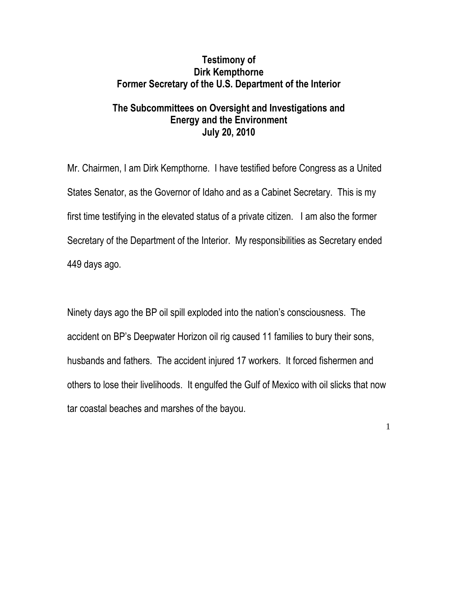## **Testimony of Dirk Kempthorne Former Secretary of the U.S. Department of the Interior**

# **The Subcommittees on Oversight and Investigations and Energy and the Environment July 20, 2010**

Mr. Chairmen, I am Dirk Kempthorne. I have testified before Congress as a United States Senator, as the Governor of Idaho and as a Cabinet Secretary. This is my first time testifying in the elevated status of a private citizen. I am also the former Secretary of the Department of the Interior. My responsibilities as Secretary ended 449 days ago.

Ninety days ago the BP oil spill exploded into the nation's consciousness. The accident on BP's Deepwater Horizon oil rig caused 11 families to bury their sons, husbands and fathers. The accident injured 17 workers. It forced fishermen and others to lose their livelihoods. It engulfed the Gulf of Mexico with oil slicks that now tar coastal beaches and marshes of the bayou.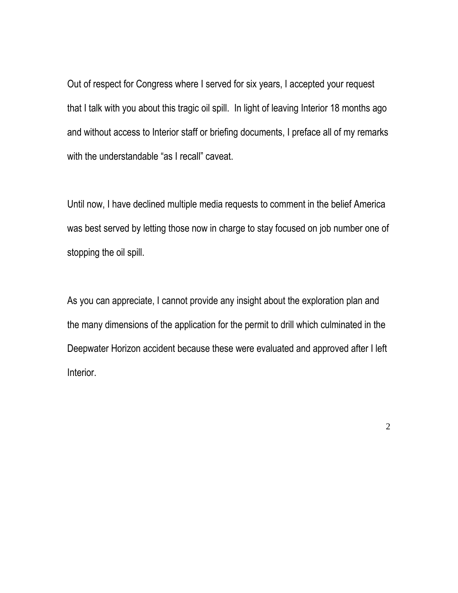Out of respect for Congress where I served for six years, I accepted your request that I talk with you about this tragic oil spill. In light of leaving Interior 18 months ago and without access to Interior staff or briefing documents, I preface all of my remarks with the understandable "as I recall" caveat.

Until now, I have declined multiple media requests to comment in the belief America was best served by letting those now in charge to stay focused on job number one of stopping the oil spill.

As you can appreciate, I cannot provide any insight about the exploration plan and the many dimensions of the application for the permit to drill which culminated in the Deepwater Horizon accident because these were evaluated and approved after I left Interior.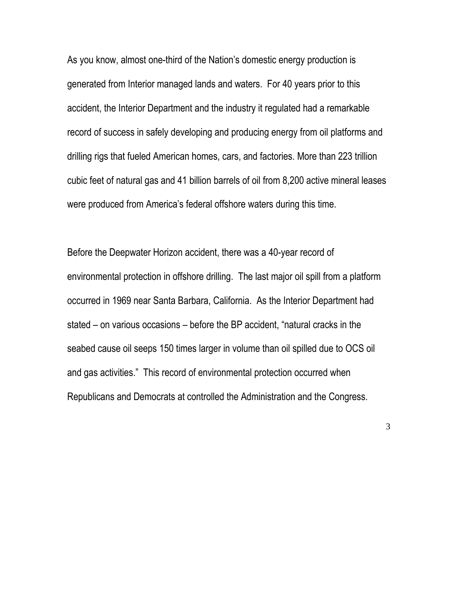As you know, almost one-third of the Nation's domestic energy production is generated from Interior managed lands and waters. For 40 years prior to this accident, the Interior Department and the industry it regulated had a remarkable record of success in safely developing and producing energy from oil platforms and drilling rigs that fueled American homes, cars, and factories. More than 223 trillion cubic feet of natural gas and 41 billion barrels of oil from 8,200 active mineral leases were produced from America's federal offshore waters during this time.

Before the Deepwater Horizon accident, there was a 40-year record of environmental protection in offshore drilling. The last major oil spill from a platform occurred in 1969 near Santa Barbara, California. As the Interior Department had stated – on various occasions – before the BP accident, "natural cracks in the seabed cause oil seeps 150 times larger in volume than oil spilled due to OCS oil and gas activities." This record of environmental protection occurred when Republicans and Democrats at controlled the Administration and the Congress.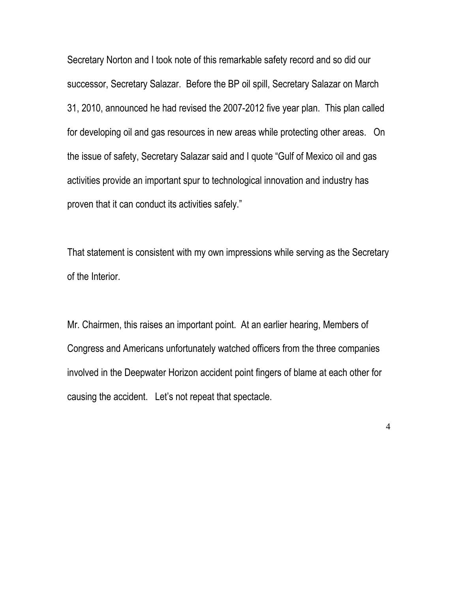Secretary Norton and I took note of this remarkable safety record and so did our successor, Secretary Salazar. Before the BP oil spill, Secretary Salazar on March 31, 2010, announced he had revised the 2007-2012 five year plan. This plan called for developing oil and gas resources in new areas while protecting other areas. On the issue of safety, Secretary Salazar said and I quote "Gulf of Mexico oil and gas activities provide an important spur to technological innovation and industry has proven that it can conduct its activities safely."

That statement is consistent with my own impressions while serving as the Secretary of the Interior.

Mr. Chairmen, this raises an important point. At an earlier hearing, Members of Congress and Americans unfortunately watched officers from the three companies involved in the Deepwater Horizon accident point fingers of blame at each other for causing the accident. Let's not repeat that spectacle.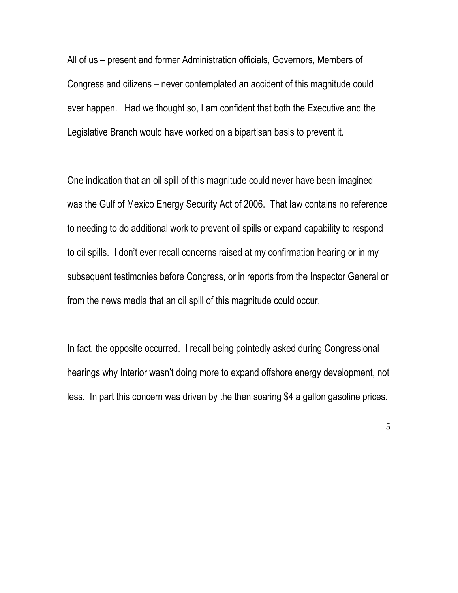All of us – present and former Administration officials, Governors, Members of Congress and citizens – never contemplated an accident of this magnitude could ever happen. Had we thought so, I am confident that both the Executive and the Legislative Branch would have worked on a bipartisan basis to prevent it.

One indication that an oil spill of this magnitude could never have been imagined was the Gulf of Mexico Energy Security Act of 2006. That law contains no reference to needing to do additional work to prevent oil spills or expand capability to respond to oil spills. I don't ever recall concerns raised at my confirmation hearing or in my subsequent testimonies before Congress, or in reports from the Inspector General or from the news media that an oil spill of this magnitude could occur.

In fact, the opposite occurred. I recall being pointedly asked during Congressional hearings why Interior wasn't doing more to expand offshore energy development, not less. In part this concern was driven by the then soaring \$4 a gallon gasoline prices.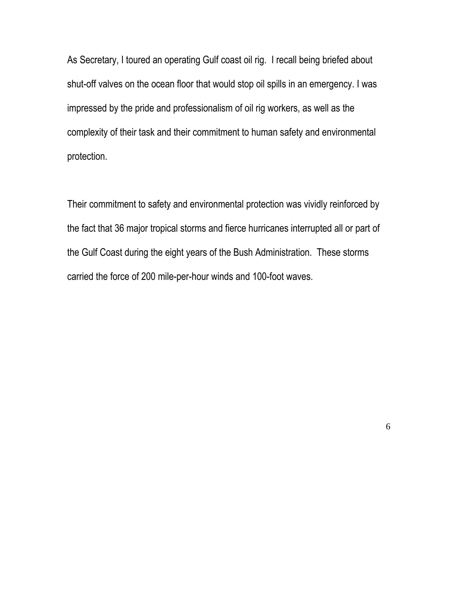As Secretary, I toured an operating Gulf coast oil rig. I recall being briefed about shut-off valves on the ocean floor that would stop oil spills in an emergency. I was impressed by the pride and professionalism of oil rig workers, as well as the complexity of their task and their commitment to human safety and environmental protection.

Their commitment to safety and environmental protection was vividly reinforced by the fact that 36 major tropical storms and fierce hurricanes interrupted all or part of the Gulf Coast during the eight years of the Bush Administration. These storms carried the force of 200 mile-per-hour winds and 100-foot waves.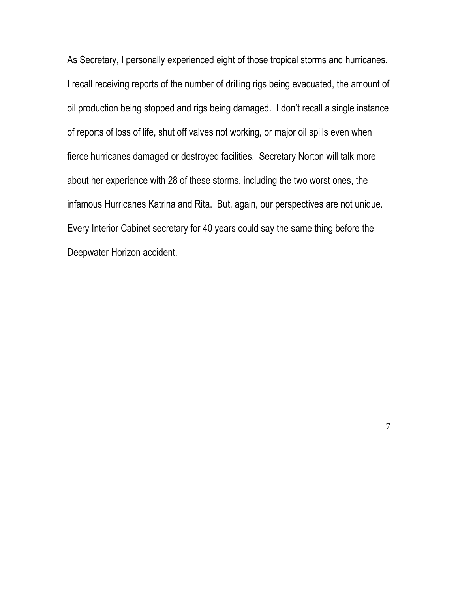As Secretary, I personally experienced eight of those tropical storms and hurricanes. I recall receiving reports of the number of drilling rigs being evacuated, the amount of oil production being stopped and rigs being damaged. I don't recall a single instance of reports of loss of life, shut off valves not working, or major oil spills even when fierce hurricanes damaged or destroyed facilities. Secretary Norton will talk more about her experience with 28 of these storms, including the two worst ones, the infamous Hurricanes Katrina and Rita. But, again, our perspectives are not unique. Every Interior Cabinet secretary for 40 years could say the same thing before the Deepwater Horizon accident.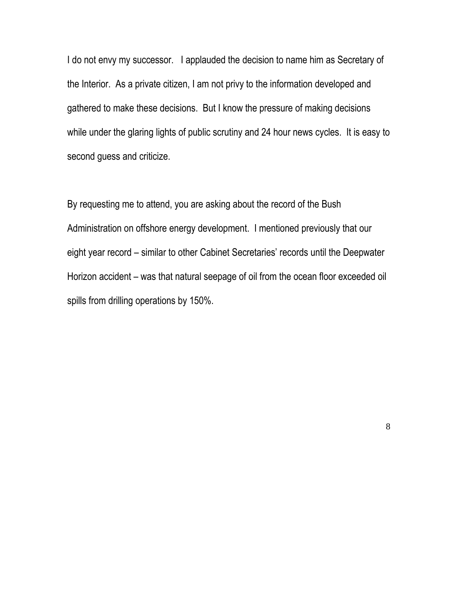I do not envy my successor. I applauded the decision to name him as Secretary of the Interior. As a private citizen, I am not privy to the information developed and gathered to make these decisions. But I know the pressure of making decisions while under the glaring lights of public scrutiny and 24 hour news cycles. It is easy to second guess and criticize.

By requesting me to attend, you are asking about the record of the Bush Administration on offshore energy development. I mentioned previously that our eight year record – similar to other Cabinet Secretaries' records until the Deepwater Horizon accident – was that natural seepage of oil from the ocean floor exceeded oil spills from drilling operations by 150%.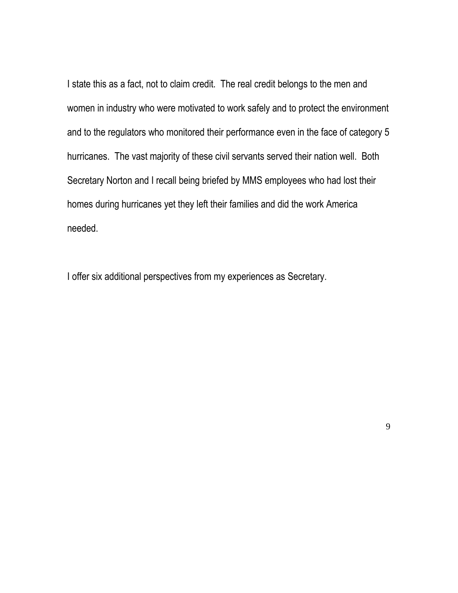I state this as a fact, not to claim credit. The real credit belongs to the men and women in industry who were motivated to work safely and to protect the environment and to the regulators who monitored their performance even in the face of category 5 hurricanes. The vast majority of these civil servants served their nation well. Both Secretary Norton and I recall being briefed by MMS employees who had lost their homes during hurricanes yet they left their families and did the work America needed.

I offer six additional perspectives from my experiences as Secretary.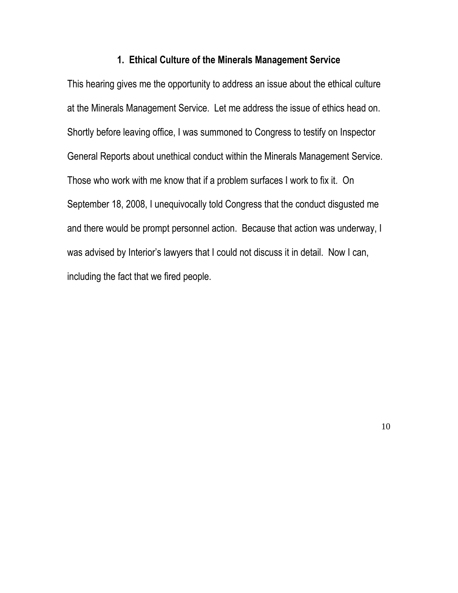#### **1. Ethical Culture of the Minerals Management Service**

This hearing gives me the opportunity to address an issue about the ethical culture at the Minerals Management Service. Let me address the issue of ethics head on. Shortly before leaving office, I was summoned to Congress to testify on Inspector General Reports about unethical conduct within the Minerals Management Service. Those who work with me know that if a problem surfaces I work to fix it. On September 18, 2008, I unequivocally told Congress that the conduct disgusted me and there would be prompt personnel action. Because that action was underway, I was advised by Interior's lawyers that I could not discuss it in detail. Now I can, including the fact that we fired people.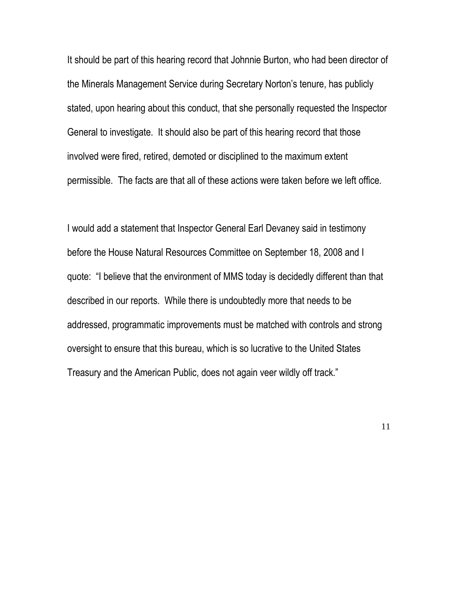It should be part of this hearing record that Johnnie Burton, who had been director of the Minerals Management Service during Secretary Norton's tenure, has publicly stated, upon hearing about this conduct, that she personally requested the Inspector General to investigate. It should also be part of this hearing record that those involved were fired, retired, demoted or disciplined to the maximum extent permissible. The facts are that all of these actions were taken before we left office.

I would add a statement that Inspector General Earl Devaney said in testimony before the House Natural Resources Committee on September 18, 2008 and I quote: "I believe that the environment of MMS today is decidedly different than that described in our reports. While there is undoubtedly more that needs to be addressed, programmatic improvements must be matched with controls and strong oversight to ensure that this bureau, which is so lucrative to the United States Treasury and the American Public, does not again veer wildly off track."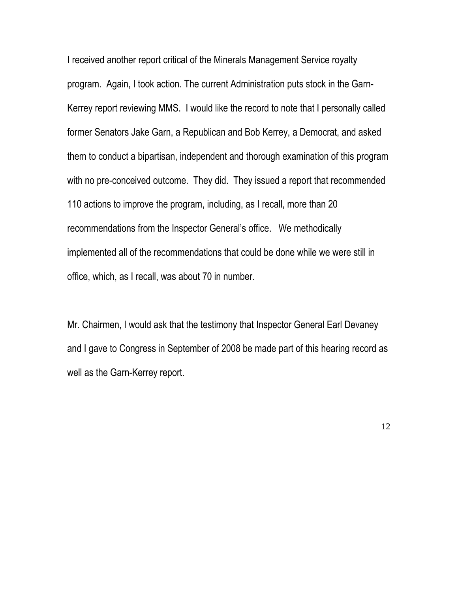I received another report critical of the Minerals Management Service royalty program. Again, I took action. The current Administration puts stock in the Garn-Kerrey report reviewing MMS. I would like the record to note that I personally called former Senators Jake Garn, a Republican and Bob Kerrey, a Democrat, and asked them to conduct a bipartisan, independent and thorough examination of this program with no pre-conceived outcome. They did. They issued a report that recommended 110 actions to improve the program, including, as I recall, more than 20 recommendations from the Inspector General's office. We methodically implemented all of the recommendations that could be done while we were still in office, which, as I recall, was about 70 in number.

Mr. Chairmen, I would ask that the testimony that Inspector General Earl Devaney and I gave to Congress in September of 2008 be made part of this hearing record as well as the Garn-Kerrey report.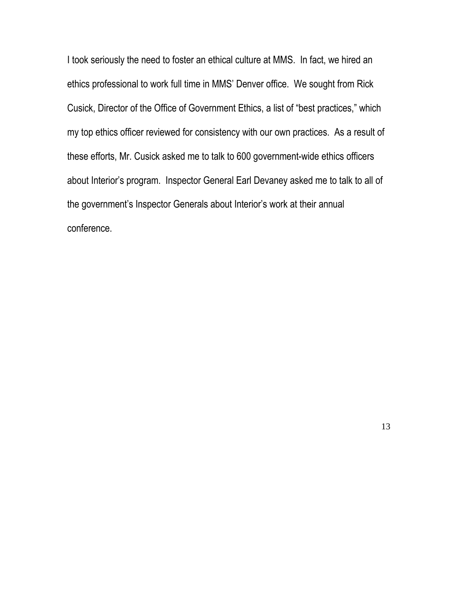I took seriously the need to foster an ethical culture at MMS. In fact, we hired an ethics professional to work full time in MMS' Denver office. We sought from Rick Cusick, Director of the Office of Government Ethics, a list of "best practices," which my top ethics officer reviewed for consistency with our own practices. As a result of these efforts, Mr. Cusick asked me to talk to 600 government-wide ethics officers about Interior's program. Inspector General Earl Devaney asked me to talk to all of the government's Inspector Generals about Interior's work at their annual conference.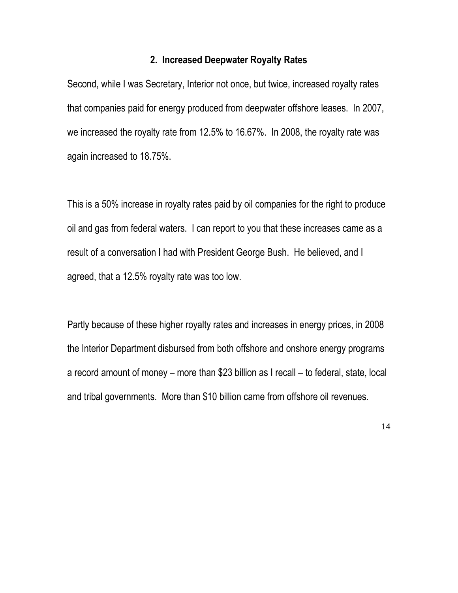## **2. Increased Deepwater Royalty Rates**

Second, while I was Secretary, Interior not once, but twice, increased royalty rates that companies paid for energy produced from deepwater offshore leases. In 2007, we increased the royalty rate from 12.5% to 16.67%. In 2008, the royalty rate was again increased to 18.75%.

This is a 50% increase in royalty rates paid by oil companies for the right to produce oil and gas from federal waters. I can report to you that these increases came as a result of a conversation I had with President George Bush. He believed, and I agreed, that a 12.5% royalty rate was too low.

Partly because of these higher royalty rates and increases in energy prices, in 2008 the Interior Department disbursed from both offshore and onshore energy programs a record amount of money – more than \$23 billion as I recall – to federal, state, local and tribal governments. More than \$10 billion came from offshore oil revenues.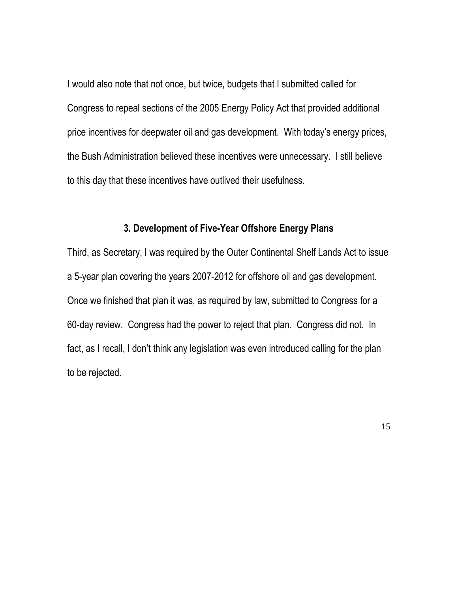I would also note that not once, but twice, budgets that I submitted called for Congress to repeal sections of the 2005 Energy Policy Act that provided additional price incentives for deepwater oil and gas development. With today's energy prices, the Bush Administration believed these incentives were unnecessary. I still believe to this day that these incentives have outlived their usefulness.

## **3. Development of Five-Year Offshore Energy Plans**

Third, as Secretary, I was required by the Outer Continental Shelf Lands Act to issue a 5-year plan covering the years 2007-2012 for offshore oil and gas development. Once we finished that plan it was, as required by law, submitted to Congress for a 60-day review. Congress had the power to reject that plan. Congress did not. In fact, as I recall, I don't think any legislation was even introduced calling for the plan to be rejected.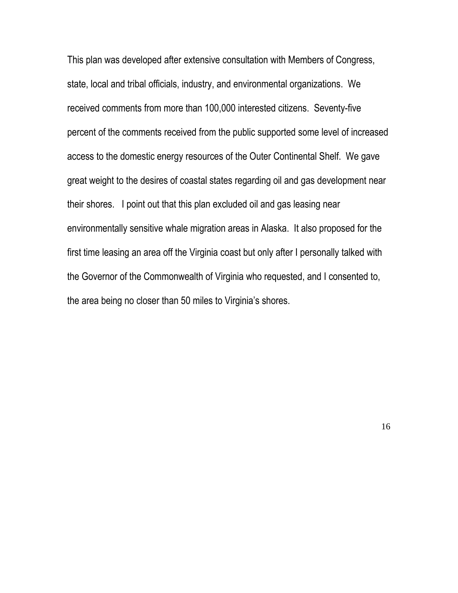This plan was developed after extensive consultation with Members of Congress, state, local and tribal officials, industry, and environmental organizations. We received comments from more than 100,000 interested citizens. Seventy-five percent of the comments received from the public supported some level of increased access to the domestic energy resources of the Outer Continental Shelf. We gave great weight to the desires of coastal states regarding oil and gas development near their shores. I point out that this plan excluded oil and gas leasing near environmentally sensitive whale migration areas in Alaska. It also proposed for the first time leasing an area off the Virginia coast but only after I personally talked with the Governor of the Commonwealth of Virginia who requested, and I consented to, the area being no closer than 50 miles to Virginia's shores.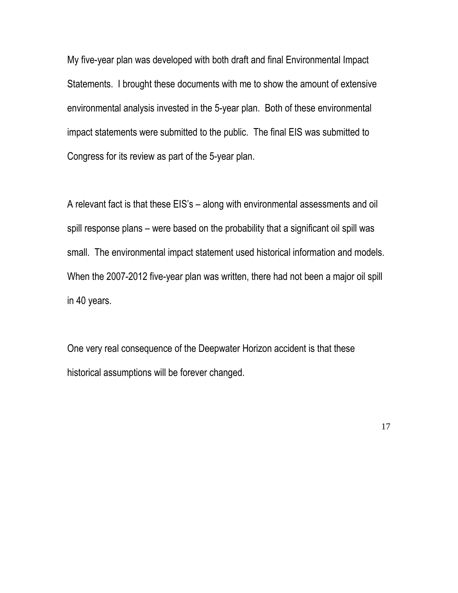My five-year plan was developed with both draft and final Environmental Impact Statements. I brought these documents with me to show the amount of extensive environmental analysis invested in the 5-year plan. Both of these environmental impact statements were submitted to the public. The final EIS was submitted to Congress for its review as part of the 5-year plan.

A relevant fact is that these EIS's – along with environmental assessments and oil spill response plans – were based on the probability that a significant oil spill was small. The environmental impact statement used historical information and models. When the 2007-2012 five-year plan was written, there had not been a major oil spill in 40 years.

One very real consequence of the Deepwater Horizon accident is that these historical assumptions will be forever changed.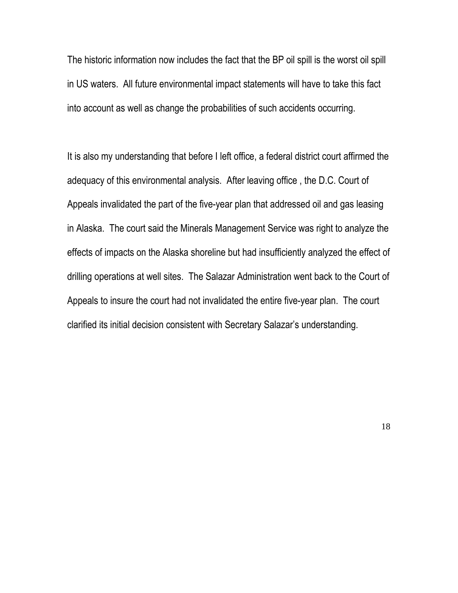The historic information now includes the fact that the BP oil spill is the worst oil spill in US waters. All future environmental impact statements will have to take this fact into account as well as change the probabilities of such accidents occurring.

It is also my understanding that before I left office, a federal district court affirmed the adequacy of this environmental analysis. After leaving office , the D.C. Court of Appeals invalidated the part of the five-year plan that addressed oil and gas leasing in Alaska. The court said the Minerals Management Service was right to analyze the effects of impacts on the Alaska shoreline but had insufficiently analyzed the effect of drilling operations at well sites. The Salazar Administration went back to the Court of Appeals to insure the court had not invalidated the entire five-year plan. The court clarified its initial decision consistent with Secretary Salazar's understanding.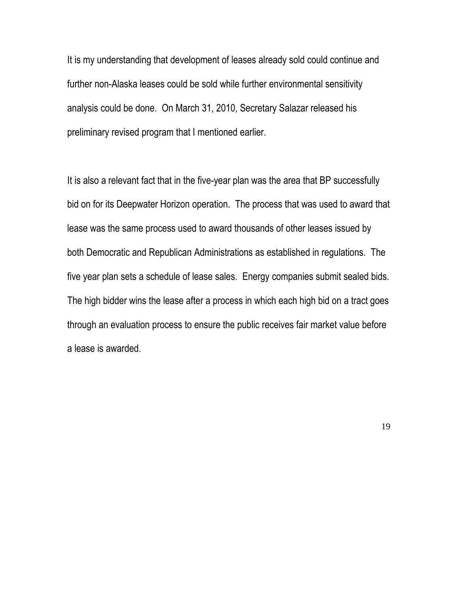It is my understanding that development of leases already sold could continue and further non-Alaska leases could be sold while further environmental sensitivity analysis could be done. On March 31, 2010, Secretary Salazar released his preliminary revised program that I mentioned earlier.

It is also a relevant fact that in the five-year plan was the area that BP successfully bid on for its Deepwater Horizon operation. The process that was used to award that lease was the same process used to award thousands of other leases issued by both Democratic and Republican Administrations as established in regulations. The five year plan sets a schedule of lease sales. Energy companies submit sealed bids. The high bidder wins the lease after a process in which each high bid on a tract goes through an evaluation process to ensure the public receives fair market value before a lease is awarded.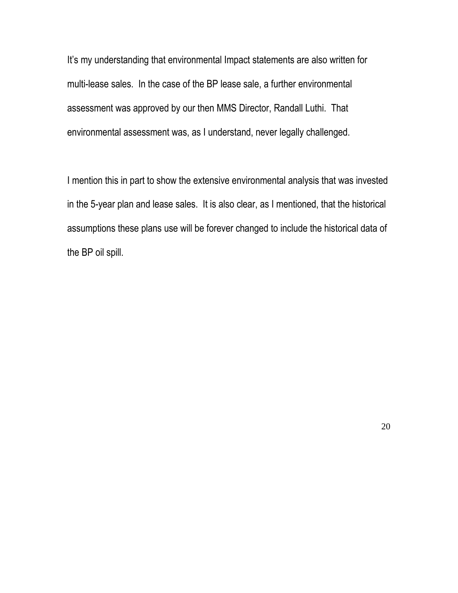It's my understanding that environmental Impact statements are also written for multi-lease sales. In the case of the BP lease sale, a further environmental assessment was approved by our then MMS Director, Randall Luthi. That environmental assessment was, as I understand, never legally challenged.

I mention this in part to show the extensive environmental analysis that was invested in the 5-year plan and lease sales. It is also clear, as I mentioned, that the historical assumptions these plans use will be forever changed to include the historical data of the BP oil spill.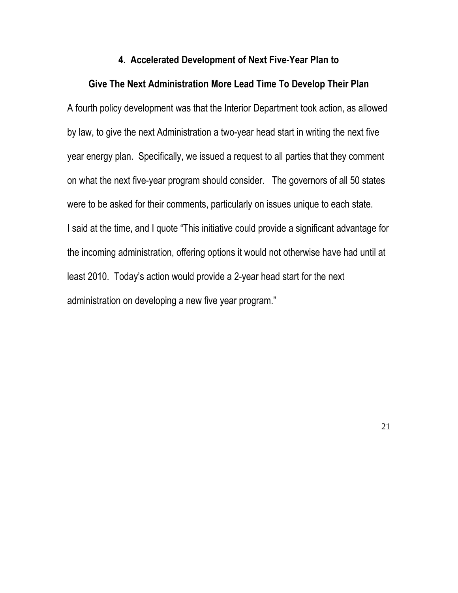#### **4. Accelerated Development of Next Five-Year Plan to**

#### **Give The Next Administration More Lead Time To Develop Their Plan**

A fourth policy development was that the Interior Department took action, as allowed by law, to give the next Administration a two-year head start in writing the next five year energy plan. Specifically, we issued a request to all parties that they comment on what the next five-year program should consider. The governors of all 50 states were to be asked for their comments, particularly on issues unique to each state. I said at the time, and I quote "This initiative could provide a significant advantage for the incoming administration, offering options it would not otherwise have had until at least 2010. Today's action would provide a 2-year head start for the next administration on developing a new five year program."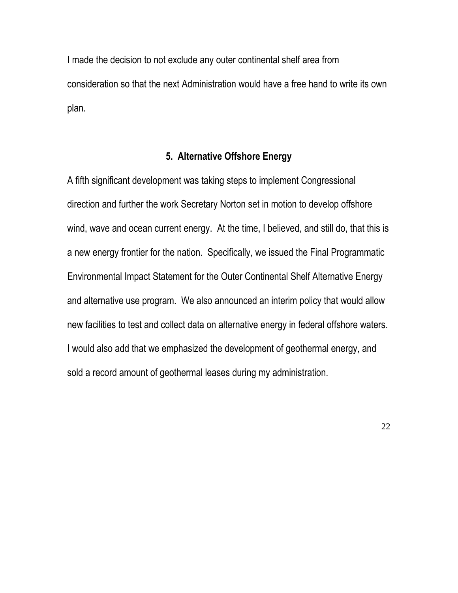I made the decision to not exclude any outer continental shelf area from consideration so that the next Administration would have a free hand to write its own plan.

## **5. Alternative Offshore Energy**

A fifth significant development was taking steps to implement Congressional direction and further the work Secretary Norton set in motion to develop offshore wind, wave and ocean current energy. At the time, I believed, and still do, that this is a new energy frontier for the nation. Specifically, we issued the Final Programmatic Environmental Impact Statement for the Outer Continental Shelf Alternative Energy and alternative use program. We also announced an interim policy that would allow new facilities to test and collect data on alternative energy in federal offshore waters. I would also add that we emphasized the development of geothermal energy, and sold a record amount of geothermal leases during my administration.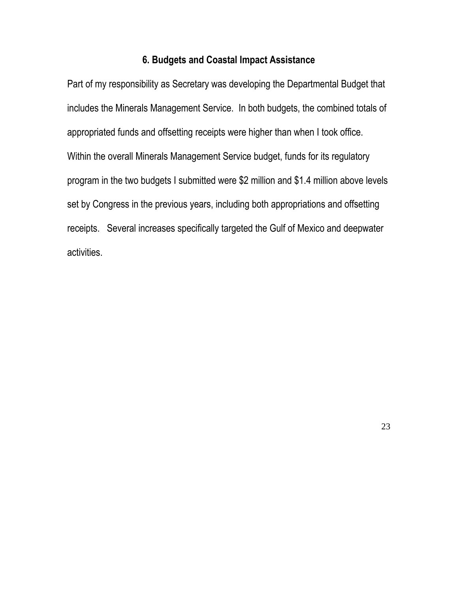## **6. Budgets and Coastal Impact Assistance**

Part of my responsibility as Secretary was developing the Departmental Budget that includes the Minerals Management Service. In both budgets, the combined totals of appropriated funds and offsetting receipts were higher than when I took office. Within the overall Minerals Management Service budget, funds for its regulatory program in the two budgets I submitted were \$2 million and \$1.4 million above levels set by Congress in the previous years, including both appropriations and offsetting receipts. Several increases specifically targeted the Gulf of Mexico and deepwater activities.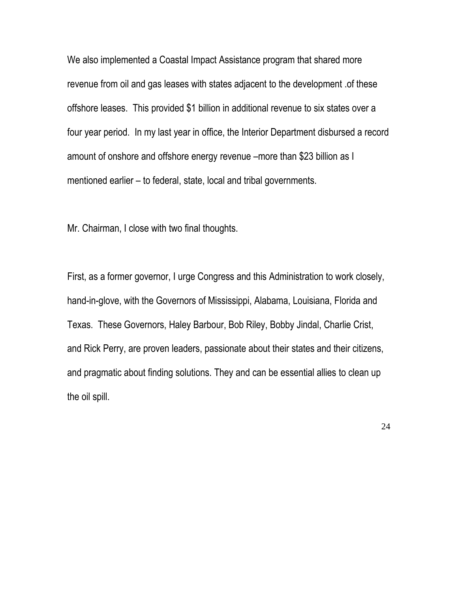We also implemented a Coastal Impact Assistance program that shared more revenue from oil and gas leases with states adjacent to the development .of these offshore leases. This provided \$1 billion in additional revenue to six states over a four year period. In my last year in office, the Interior Department disbursed a record amount of onshore and offshore energy revenue –more than \$23 billion as I mentioned earlier – to federal, state, local and tribal governments.

Mr. Chairman, I close with two final thoughts.

First, as a former governor, I urge Congress and this Administration to work closely, hand-in-glove, with the Governors of Mississippi, Alabama, Louisiana, Florida and Texas. These Governors, Haley Barbour, Bob Riley, Bobby Jindal, Charlie Crist, and Rick Perry, are proven leaders, passionate about their states and their citizens, and pragmatic about finding solutions. They and can be essential allies to clean up the oil spill.